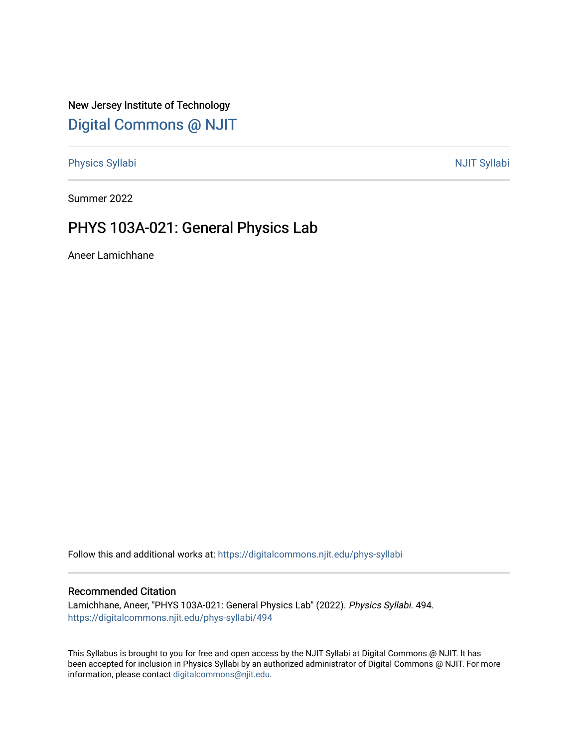New Jersey Institute of Technology [Digital Commons @ NJIT](https://digitalcommons.njit.edu/) 

[Physics Syllabi](https://digitalcommons.njit.edu/phys-syllabi) **NJIT Syllabi** [NJIT Syllabi](https://digitalcommons.njit.edu/syllabi) and the syllabidity of the syllabidity of the syllabidity of the syllabidity of the syllabidity of the syllabidity of the syllabidity of the syllabidity of the syllabidity of the

Summer 2022

# PHYS 103A-021: General Physics Lab

Aneer Lamichhane

Follow this and additional works at: [https://digitalcommons.njit.edu/phys-syllabi](https://digitalcommons.njit.edu/phys-syllabi?utm_source=digitalcommons.njit.edu%2Fphys-syllabi%2F494&utm_medium=PDF&utm_campaign=PDFCoverPages) 

### Recommended Citation

Lamichhane, Aneer, "PHYS 103A-021: General Physics Lab" (2022). Physics Syllabi. 494. [https://digitalcommons.njit.edu/phys-syllabi/494](https://digitalcommons.njit.edu/phys-syllabi/494?utm_source=digitalcommons.njit.edu%2Fphys-syllabi%2F494&utm_medium=PDF&utm_campaign=PDFCoverPages) 

This Syllabus is brought to you for free and open access by the NJIT Syllabi at Digital Commons @ NJIT. It has been accepted for inclusion in Physics Syllabi by an authorized administrator of Digital Commons @ NJIT. For more information, please contact [digitalcommons@njit.edu.](mailto:digitalcommons@njit.edu)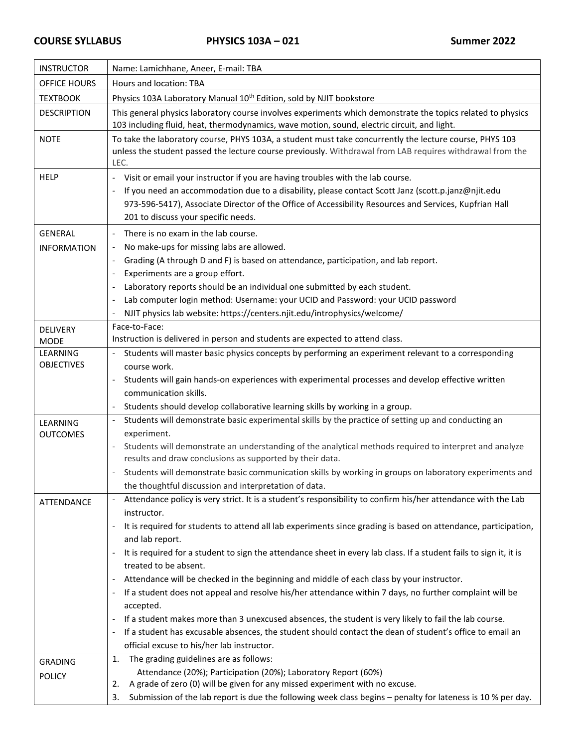| <b>INSTRUCTOR</b>              | Name: Lamichhane, Aneer, E-mail: TBA                                                                                                                                                                                                                                                                                                  |  |  |  |
|--------------------------------|---------------------------------------------------------------------------------------------------------------------------------------------------------------------------------------------------------------------------------------------------------------------------------------------------------------------------------------|--|--|--|
| OFFICE HOURS                   | Hours and location: TBA                                                                                                                                                                                                                                                                                                               |  |  |  |
| <b>TEXTBOOK</b>                | Physics 103A Laboratory Manual 10 <sup>th</sup> Edition, sold by NJIT bookstore                                                                                                                                                                                                                                                       |  |  |  |
| <b>DESCRIPTION</b>             | This general physics laboratory course involves experiments which demonstrate the topics related to physics<br>103 including fluid, heat, thermodynamics, wave motion, sound, electric circuit, and light.                                                                                                                            |  |  |  |
| <b>NOTE</b>                    | To take the laboratory course, PHYS 103A, a student must take concurrently the lecture course, PHYS 103<br>unless the student passed the lecture course previously. Withdrawal from LAB requires withdrawal from the<br>LEC.                                                                                                          |  |  |  |
| <b>HELP</b>                    | Visit or email your instructor if you are having troubles with the lab course.<br>If you need an accommodation due to a disability, please contact Scott Janz (scott.p.janz@njit.edu<br>973-596-5417), Associate Director of the Office of Accessibility Resources and Services, Kupfrian Hall<br>201 to discuss your specific needs. |  |  |  |
| <b>GENERAL</b>                 | There is no exam in the lab course.                                                                                                                                                                                                                                                                                                   |  |  |  |
| <b>INFORMATION</b>             | No make-ups for missing labs are allowed.                                                                                                                                                                                                                                                                                             |  |  |  |
|                                | Grading (A through D and F) is based on attendance, participation, and lab report.                                                                                                                                                                                                                                                    |  |  |  |
|                                | Experiments are a group effort.                                                                                                                                                                                                                                                                                                       |  |  |  |
|                                | Laboratory reports should be an individual one submitted by each student.                                                                                                                                                                                                                                                             |  |  |  |
|                                | Lab computer login method: Username: your UCID and Password: your UCID password                                                                                                                                                                                                                                                       |  |  |  |
|                                | NJIT physics lab website: https://centers.njit.edu/introphysics/welcome/                                                                                                                                                                                                                                                              |  |  |  |
| <b>DELIVERY</b>                | Face-to-Face:<br>Instruction is delivered in person and students are expected to attend class.                                                                                                                                                                                                                                        |  |  |  |
| <b>MODE</b><br><b>LEARNING</b> | Students will master basic physics concepts by performing an experiment relevant to a corresponding                                                                                                                                                                                                                                   |  |  |  |
| <b>OBJECTIVES</b>              | course work.                                                                                                                                                                                                                                                                                                                          |  |  |  |
|                                | Students will gain hands-on experiences with experimental processes and develop effective written                                                                                                                                                                                                                                     |  |  |  |
|                                | communication skills.                                                                                                                                                                                                                                                                                                                 |  |  |  |
|                                | Students should develop collaborative learning skills by working in a group.                                                                                                                                                                                                                                                          |  |  |  |
| <b>LEARNING</b>                | Students will demonstrate basic experimental skills by the practice of setting up and conducting an                                                                                                                                                                                                                                   |  |  |  |
| <b>OUTCOMES</b>                | experiment.                                                                                                                                                                                                                                                                                                                           |  |  |  |
|                                | Students will demonstrate an understanding of the analytical methods required to interpret and analyze<br>$\overline{\phantom{a}}$<br>results and draw conclusions as supported by their data.                                                                                                                                        |  |  |  |
|                                | Students will demonstrate basic communication skills by working in groups on laboratory experiments and                                                                                                                                                                                                                               |  |  |  |
|                                | the thoughtful discussion and interpretation of data.                                                                                                                                                                                                                                                                                 |  |  |  |
| ATTENDANCE                     | Attendance policy is very strict. It is a student's responsibility to confirm his/her attendance with the Lab                                                                                                                                                                                                                         |  |  |  |
|                                | instructor.                                                                                                                                                                                                                                                                                                                           |  |  |  |
|                                | It is required for students to attend all lab experiments since grading is based on attendance, participation,<br>$\overline{\phantom{a}}$                                                                                                                                                                                            |  |  |  |
|                                | and lab report.                                                                                                                                                                                                                                                                                                                       |  |  |  |
|                                | It is required for a student to sign the attendance sheet in every lab class. If a student fails to sign it, it is<br>$\overline{\phantom{a}}$<br>treated to be absent.                                                                                                                                                               |  |  |  |
|                                | Attendance will be checked in the beginning and middle of each class by your instructor.                                                                                                                                                                                                                                              |  |  |  |
|                                | If a student does not appeal and resolve his/her attendance within 7 days, no further complaint will be                                                                                                                                                                                                                               |  |  |  |
|                                | accepted.                                                                                                                                                                                                                                                                                                                             |  |  |  |
|                                | If a student makes more than 3 unexcused absences, the student is very likely to fail the lab course.<br>$\overline{\phantom{a}}$                                                                                                                                                                                                     |  |  |  |
|                                | If a student has excusable absences, the student should contact the dean of student's office to email an                                                                                                                                                                                                                              |  |  |  |
|                                | official excuse to his/her lab instructor.                                                                                                                                                                                                                                                                                            |  |  |  |
| <b>GRADING</b>                 | The grading guidelines are as follows:<br>1.                                                                                                                                                                                                                                                                                          |  |  |  |
| <b>POLICY</b>                  | Attendance (20%); Participation (20%); Laboratory Report (60%)                                                                                                                                                                                                                                                                        |  |  |  |
|                                | A grade of zero (0) will be given for any missed experiment with no excuse.<br>2.                                                                                                                                                                                                                                                     |  |  |  |
|                                | Submission of the lab report is due the following week class begins - penalty for lateness is 10 % per day.<br>3.                                                                                                                                                                                                                     |  |  |  |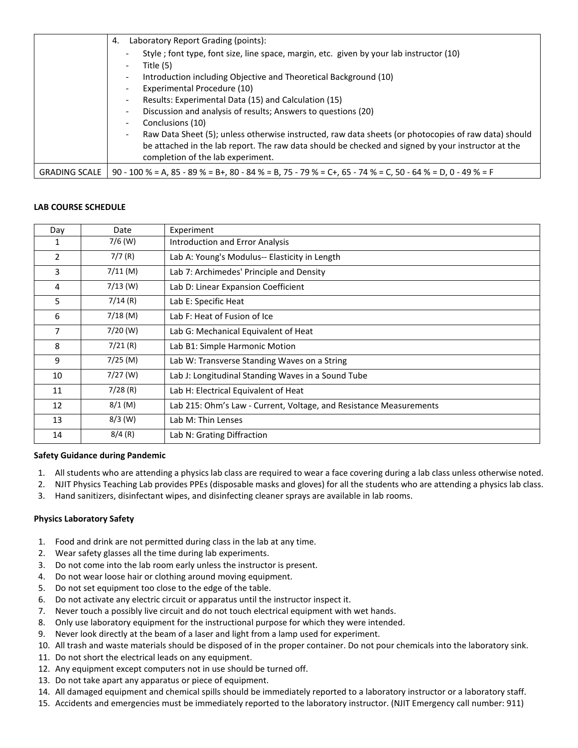|                      | Laboratory Report Grading (points):<br>4.                                                                                               |  |
|----------------------|-----------------------------------------------------------------------------------------------------------------------------------------|--|
|                      | Style; font type, font size, line space, margin, etc. given by your lab instructor (10)<br>Title (5)                                    |  |
|                      | Introduction including Objective and Theoretical Background (10)                                                                        |  |
|                      | Experimental Procedure (10)                                                                                                             |  |
|                      | Results: Experimental Data (15) and Calculation (15)                                                                                    |  |
|                      | Discussion and analysis of results; Answers to questions (20)                                                                           |  |
|                      | Conclusions (10)                                                                                                                        |  |
|                      | Raw Data Sheet (5); unless otherwise instructed, raw data sheets (or photocopies of raw data) should                                    |  |
|                      | be attached in the lab report. The raw data should be checked and signed by your instructor at the<br>completion of the lab experiment. |  |
| <b>GRADING SCALE</b> | 90 - 100 % = A, 85 - 89 % = B+, 80 - 84 % = B, 75 - 79 % = C+, 65 - 74 % = C, 50 - 64 % = D, 0 - 49 % = F                               |  |

### **LAB COURSE SCHEDULE**

| Day            | Date       | Experiment                                                         |
|----------------|------------|--------------------------------------------------------------------|
| 1              | $7/6$ (W)  | <b>Introduction and Error Analysis</b>                             |
| 2              | 7/7(R)     | Lab A: Young's Modulus-- Elasticity in Length                      |
| 3              | $7/11$ (M) | Lab 7: Archimedes' Principle and Density                           |
| 4              | $7/13$ (W) | Lab D: Linear Expansion Coefficient                                |
| 5              | 7/14(R)    | Lab E: Specific Heat                                               |
| 6              | $7/18$ (M) | Lab F: Heat of Fusion of Ice                                       |
| $\overline{7}$ | $7/20$ (W) | Lab G: Mechanical Equivalent of Heat                               |
| 8              | $7/21$ (R) | Lab B1: Simple Harmonic Motion                                     |
| 9              | $7/25$ (M) | Lab W: Transverse Standing Waves on a String                       |
| 10             | $7/27$ (W) | Lab J: Longitudinal Standing Waves in a Sound Tube                 |
| 11             | 7/28(R)    | Lab H: Electrical Equivalent of Heat                               |
| 12             | $8/1$ (M)  | Lab 215: Ohm's Law - Current, Voltage, and Resistance Measurements |
| 13             | $8/3$ (W)  | Lab M: Thin Lenses                                                 |
| 14             | 8/4(R)     | Lab N: Grating Diffraction                                         |

#### **Safety Guidance during Pandemic**

- 1. All students who are attending a physics lab class are required to wear a face covering during a lab class unless otherwise noted.
- 2. NJIT Physics Teaching Lab provides PPEs (disposable masks and gloves) for all the students who are attending a physics lab class.
- 3. Hand sanitizers, disinfectant wipes, and disinfecting cleaner sprays are available in lab rooms.

## **Physics Laboratory Safety**

- 1. Food and drink are not permitted during class in the lab at any time.
- 2. Wear safety glasses all the time during lab experiments.
- 3. Do not come into the lab room early unless the instructor is present.
- 4. Do not wear loose hair or clothing around moving equipment.
- 5. Do not set equipment too close to the edge of the table.
- 6. Do not activate any electric circuit or apparatus until the instructor inspect it.
- 7. Never touch a possibly live circuit and do not touch electrical equipment with wet hands.
- 8. Only use laboratory equipment for the instructional purpose for which they were intended.
- 9. Never look directly at the beam of a laser and light from a lamp used for experiment.
- 10. All trash and waste materials should be disposed of in the proper container. Do not pour chemicals into the laboratory sink.
- 11. Do not short the electrical leads on any equipment.
- 12. Any equipment except computers not in use should be turned off.
- 13. Do not take apart any apparatus or piece of equipment.
- 14. All damaged equipment and chemical spills should be immediately reported to a laboratory instructor or a laboratory staff.
- 15. Accidents and emergencies must be immediately reported to the laboratory instructor. (NJIT Emergency call number: 911)